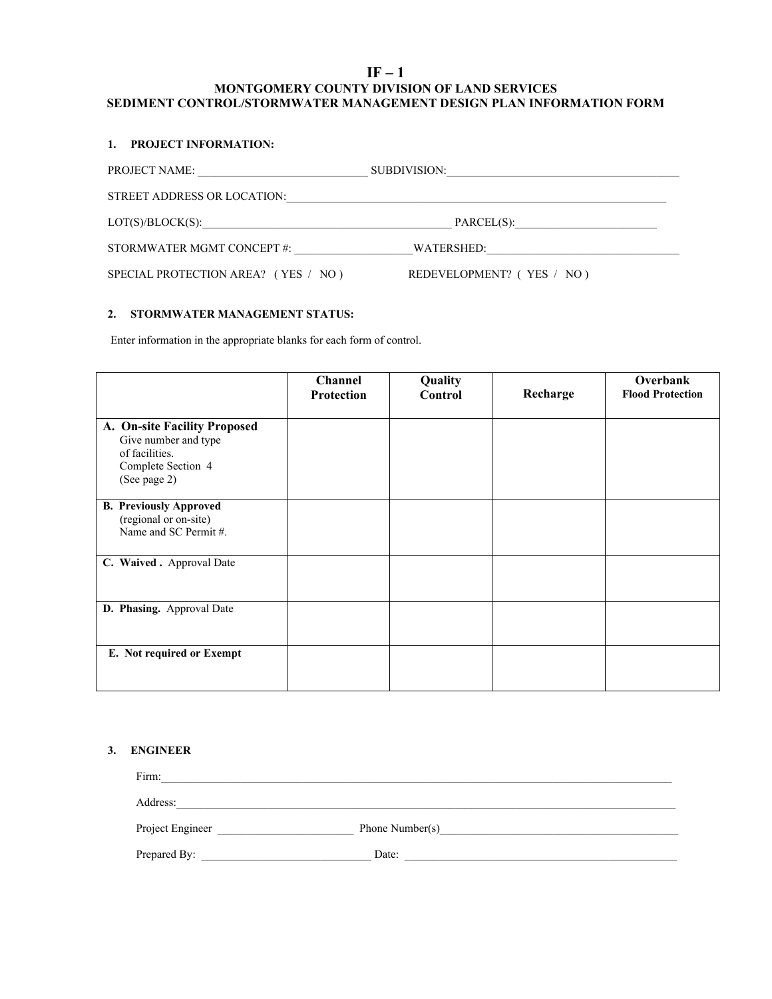# **IF – 1 MONTGOMERY COUNTY DIVISION OF LAND SERVICES SEDIMENT CONTROL/STORMWATER MANAGEMENT DESIGN PLAN INFORMATION FORM**

### **1. PROJECT INFORMATION:**

| PROJECT NAME:                       | SUBDIVISION:<br><u> 1980 - Jan Sterling von Berling von Berling von Berling von Berling von Berling von Berling von Berling von B</u> |  |
|-------------------------------------|---------------------------------------------------------------------------------------------------------------------------------------|--|
| STREET ADDRESS OR LOCATION:         |                                                                                                                                       |  |
| LOT(S)/BLOCK(S):                    | PARCEL(S):                                                                                                                            |  |
| STORMWATER MGMT CONCEPT #:          | WATERSHED:                                                                                                                            |  |
| SPECIAL PROTECTION AREA? (YES / NO) | REDEVELOPMENT? (YES / NO)                                                                                                             |  |

# **2. STORMWATER MANAGEMENT STATUS:**

Enter information in the appropriate blanks for each form of control.

|                                                                                                              | Channel<br><b>Protection</b> | Quality<br>Control | Recharge | Overbank<br><b>Flood Protection</b> |
|--------------------------------------------------------------------------------------------------------------|------------------------------|--------------------|----------|-------------------------------------|
| A. On-site Facility Proposed<br>Give number and type<br>of facilities.<br>Complete Section 4<br>(See page 2) |                              |                    |          |                                     |
| <b>B. Previously Approved</b><br>(regional or on-site)<br>Name and SC Permit #.                              |                              |                    |          |                                     |
| C. Waived . Approval Date                                                                                    |                              |                    |          |                                     |
| D. Phasing. Approval Date                                                                                    |                              |                    |          |                                     |
| E. Not required or Exempt                                                                                    |                              |                    |          |                                     |

## **3. ENGINEER**

| Firm:            |                 |
|------------------|-----------------|
| Address:         |                 |
| Project Engineer | Phone Number(s) |
| Prepared By:     | Date:           |